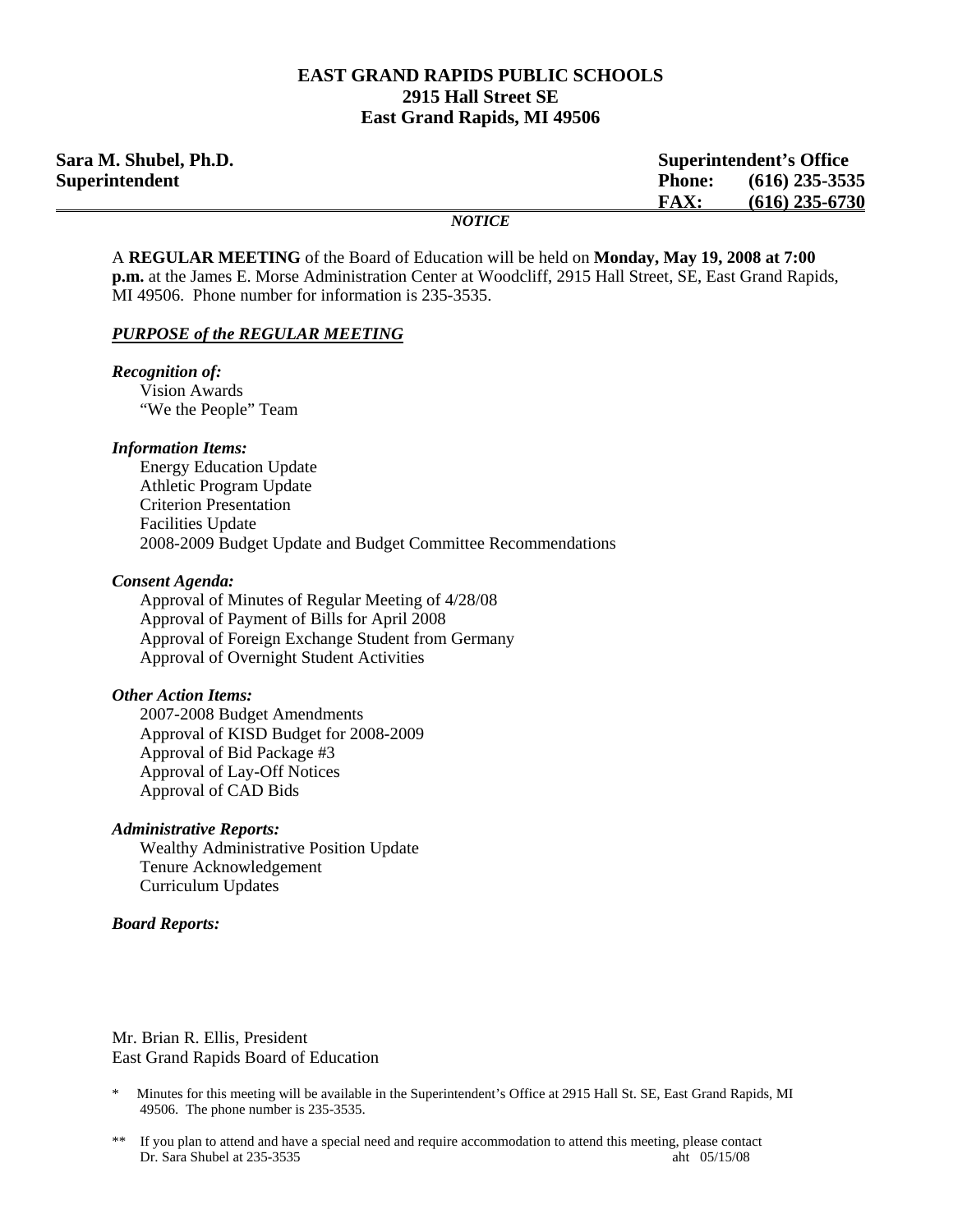### **EAST GRAND RAPIDS PUBLIC SCHOOLS 2915 Hall Street SE East Grand Rapids, MI 49506**

| Sara M. Shubel, Ph.D.<br><b>Superintendent's Office</b> |                                   |
|---------------------------------------------------------|-----------------------------------|
| Superintendent                                          | $(616)$ 235-3535<br><b>Phone:</b> |
|                                                         | $(616)$ 235-6730<br><b>FAX:</b>   |
|                                                         | <b>NOTICE</b>                     |

A **REGULAR MEETING** of the Board of Education will be held on **Monday, May 19, 2008 at 7:00 p.m.** at the James E. Morse Administration Center at Woodcliff, 2915 Hall Street, SE, East Grand Rapids, MI 49506. Phone number for information is 235-3535.

#### *PURPOSE of the REGULAR MEETING*

*Recognition of:*  Vision Awards "We the People" Team

#### *Information Items:*

 Energy Education Update Athletic Program Update Criterion Presentation Facilities Update 2008-2009 Budget Update and Budget Committee Recommendations

#### *Consent Agenda:*

 Approval of Minutes of Regular Meeting of 4/28/08 Approval of Payment of Bills for April 2008 Approval of Foreign Exchange Student from Germany Approval of Overnight Student Activities

#### *Other Action Items:*

2007-2008 Budget Amendments Approval of KISD Budget for 2008-2009 Approval of Bid Package #3 Approval of Lay-Off Notices Approval of CAD Bids

#### *Administrative Reports:*

Wealthy Administrative Position Update Tenure Acknowledgement Curriculum Updates

#### *Board Reports:*

Mr. Brian R. Ellis, President East Grand Rapids Board of Education

- Minutes for this meeting will be available in the Superintendent's Office at 2915 Hall St. SE, East Grand Rapids, MI 49506. The phone number is 235-3535.
- \*\* If you plan to attend and have a special need and require accommodation to attend this meeting, please contact Dr. Sara Shubel at 235-3535 aht 05/15/08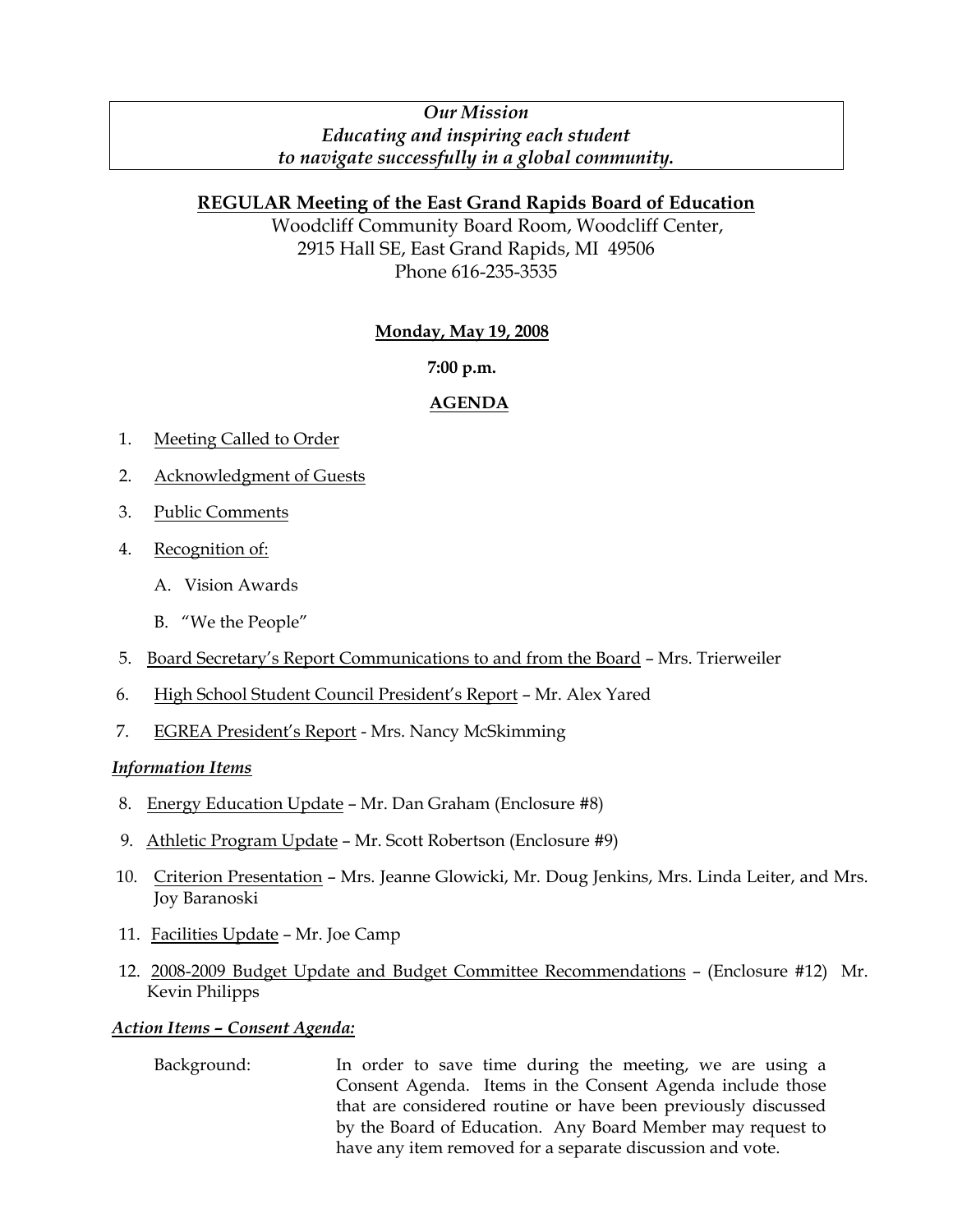## *Our Mission Educating and inspiring each student to navigate successfully in a global community.*

## **REGULAR Meeting of the East Grand Rapids Board of Education**

Woodcliff Community Board Room, Woodcliff Center, 2915 Hall SE, East Grand Rapids, MI 49506 Phone 616-235-3535

## **Monday, May 19, 2008**

## **7:00 p.m.**

# **AGENDA**

- 1. Meeting Called to Order
- 2. Acknowledgment of Guests
- 3. Public Comments
- 4. Recognition of:
	- A. Vision Awards
	- B. "We the People"
- 5. Board Secretary's Report Communications to and from the Board Mrs. Trierweiler
- 6. High School Student Council President's Report Mr. Alex Yared
- 7. EGREA President's Report Mrs. Nancy McSkimming

## *Information Items*

- 8. Energy Education Update Mr. Dan Graham (Enclosure #8)
- 9. Athletic Program Update Mr. Scott Robertson (Enclosure #9)
- 10. Criterion Presentation Mrs. Jeanne Glowicki, Mr. Doug Jenkins, Mrs. Linda Leiter, and Mrs. Joy Baranoski
- 11. Facilities Update Mr. Joe Camp
- 12. 2008-2009 Budget Update and Budget Committee Recommendations (Enclosure #12) Mr. Kevin Philipps

## *Action Items – Consent Agenda:*

 Background: In order to save time during the meeting, we are using a Consent Agenda. Items in the Consent Agenda include those that are considered routine or have been previously discussed by the Board of Education. Any Board Member may request to have any item removed for a separate discussion and vote.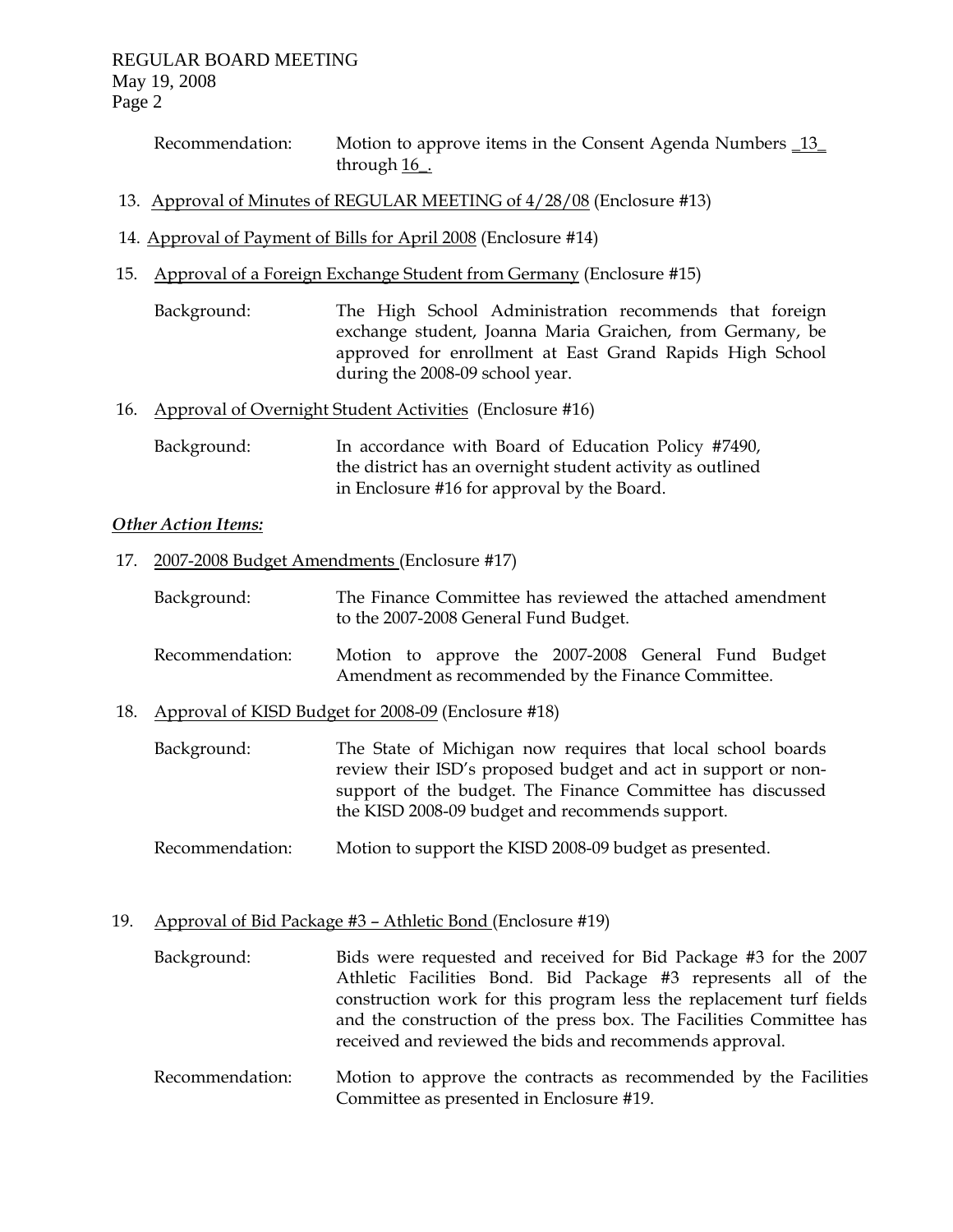Recommendation: Motion to approve items in the Consent Agenda Numbers \_13\_ through 16\_.

- 13. Approval of Minutes of REGULAR MEETING of 4/28/08 (Enclosure #13)
- 14. Approval of Payment of Bills for April 2008 (Enclosure #14)
- 15. Approval of a Foreign Exchange Student from Germany (Enclosure #15)
	- Background: The High School Administration recommends that foreign exchange student, Joanna Maria Graichen, from Germany, be approved for enrollment at East Grand Rapids High School during the 2008-09 school year.
- 16. Approval of Overnight Student Activities (Enclosure #16)
	- Background: In accordance with Board of Education Policy #7490, the district has an overnight student activity as outlined in Enclosure #16 for approval by the Board.

### *Other Action Items:*

- 17. 2007-2008 Budget Amendments (Enclosure #17)
	- Background: The Finance Committee has reviewed the attached amendment to the 2007-2008 General Fund Budget.
	- Recommendation: Motion to approve the 2007-2008 General Fund Budget Amendment as recommended by the Finance Committee.
- 18. Approval of KISD Budget for 2008-09 (Enclosure #18)
	- Background: The State of Michigan now requires that local school boards review their ISD's proposed budget and act in support or nonsupport of the budget. The Finance Committee has discussed the KISD 2008-09 budget and recommends support.
	- Recommendation: Motion to support the KISD 2008-09 budget as presented.
- 19. Approval of Bid Package #3 Athletic Bond (Enclosure #19)
	- Background: Bids were requested and received for Bid Package #3 for the 2007 Athletic Facilities Bond. Bid Package #3 represents all of the construction work for this program less the replacement turf fields and the construction of the press box. The Facilities Committee has received and reviewed the bids and recommends approval.
	- Recommendation: Motion to approve the contracts as recommended by the Facilities Committee as presented in Enclosure #19.